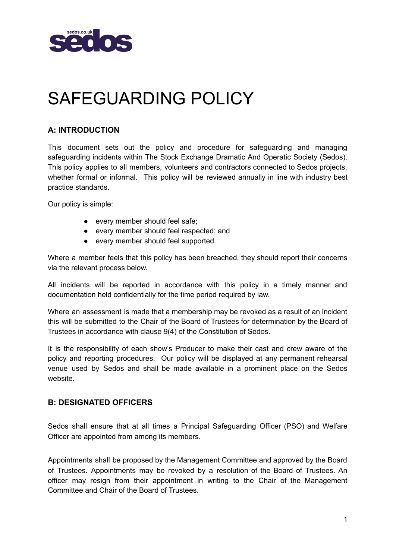

# SAFEGUARDING POLICY

### **A: INTRODUCTION**

This document sets out the policy and procedure for safeguarding and managing safeguarding incidents within The Stock Exchange Dramatic And Operatic Society (Sedos). This policy applies to all members, volunteers and contractors connected to Sedos projects, whether formal or informal. This policy will be reviewed annually in line with industry best practice standards.

Our policy is simple:

- every member should feel safe;
- every member should feel respected; and
- every member should feel supported.

Where a member feels that this policy has been breached, they should report their concerns via the relevant process below.

All incidents will be reported in accordance with this policy in a timely manner and documentation held confidentially for the time period required by law.

Where an assessment is made that a membership may be revoked as a result of an incident this will be submitted to the Chair of the Board of Trustees for determination by the Board of Trustees in accordance with clause 9(4) of the Constitution of Sedos.

It is the responsibility of each show's Producer to make their cast and crew aware of the policy and reporting procedures. Our policy will be displayed at any permanent rehearsal venue used by Sedos and shall be made available in a prominent place on the Sedos website.

#### **B: DESIGNATED OFFICERS**

Sedos shall ensure that at all times a Principal Safeguarding Officer (PSO) and Welfare Officer are appointed from among its members.

Appointments shall be proposed by the Management Committee and approved by the Board of Trustees. Appointments may be revoked by a resolution of the Board of Trustees. An officer may resign from their appointment in writing to the Chair of the Management Committee and Chair of the Board of Trustees.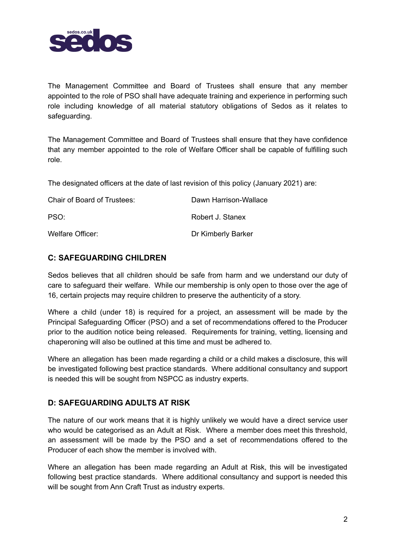

The Management Committee and Board of Trustees shall ensure that any member appointed to the role of PSO shall have adequate training and experience in performing such role including knowledge of all material statutory obligations of Sedos as it relates to safeguarding.

The Management Committee and Board of Trustees shall ensure that they have confidence that any member appointed to the role of Welfare Officer shall be capable of fulfilling such role.

The designated officers at the date of last revision of this policy (January 2021) are:

| Chair of Board of Trustees: | Dawn Harrison-Wallace |
|-----------------------------|-----------------------|
| PSO:                        | Robert J. Stanex      |
| Welfare Officer:            | Dr Kimberly Barker    |

#### **C: SAFEGUARDING CHILDREN**

Sedos believes that all children should be safe from harm and we understand our duty of care to safeguard their welfare. While our membership is only open to those over the age of 16, certain projects may require children to preserve the authenticity of a story.

Where a child (under 18) is required for a project, an assessment will be made by the Principal Safeguarding Officer (PSO) and a set of recommendations offered to the Producer prior to the audition notice being released. Requirements for training, vetting, licensing and chaperoning will also be outlined at this time and must be adhered to.

Where an allegation has been made regarding a child or a child makes a disclosure, this will be investigated following best practice standards. Where additional consultancy and support is needed this will be sought from NSPCC as industry experts.

#### **D: SAFEGUARDING ADULTS AT RISK**

The nature of our work means that it is highly unlikely we would have a direct service user who would be categorised as an Adult at Risk. Where a member does meet this threshold, an assessment will be made by the PSO and a set of recommendations offered to the Producer of each show the member is involved with.

Where an allegation has been made regarding an Adult at Risk, this will be investigated following best practice standards. Where additional consultancy and support is needed this will be sought from Ann Craft Trust as industry experts.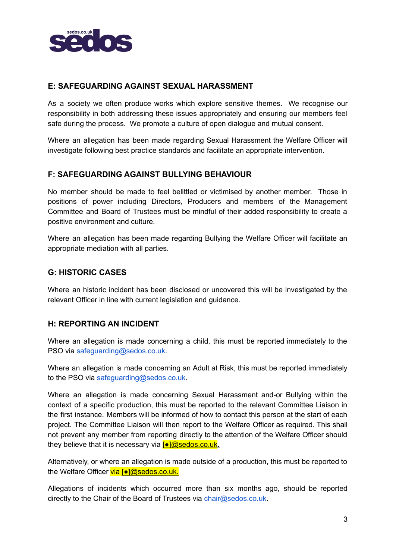

#### **E: SAFEGUARDING AGAINST SEXUAL HARASSMENT**

As a society we often produce works which explore sensitive themes. We recognise our responsibility in both addressing these issues appropriately and ensuring our members feel safe during the process. We promote a culture of open dialogue and mutual consent.

Where an allegation has been made regarding Sexual Harassment the Welfare Officer will investigate following best practice standards and facilitate an appropriate intervention.

#### **F: SAFEGUARDING AGAINST BULLYING BEHAVIOUR**

No member should be made to feel belittled or victimised by another member. Those in positions of power including Directors, Producers and members of the Management Committee and Board of Trustees must be mindful of their added responsibility to create a positive environment and culture.

Where an allegation has been made regarding Bullying the Welfare Officer will facilitate an appropriate mediation with all parties.

#### **G: HISTORIC CASES**

Where an historic incident has been disclosed or uncovered this will be investigated by the relevant Officer in line with current legislation and guidance.

#### **H: REPORTING AN INCIDENT**

Where an allegation is made concerning a child, this must be reported immediately to the PSO via safeguarding@sedos.co.uk.

Where an allegation is made concerning an Adult at Risk, this must be reported immediately to the PSO via safeguarding@sedos.co.uk.

Where an allegation is made concerning Sexual Harassment and-or Bullying within the context of a specific production, this must be reported to the relevant Committee Liaison in the first instance. Members will be informed of how to contact this person at the start of each project. The Committee Liaison will then report to the Welfare Officer as required. This shall not prevent any member from reporting directly to the attention of the Welfare Officer should they believe that it is necessary via **[●]@sedos.co.uk.** 

Alternatively, or where an allegation is made outside of a production, this must be reported to the Welfare Officer via [●]@sedos.co.uk.

Allegations of incidents which occurred more than six months ago, should be reported directly to the Chair of the Board of Trustees via chair@sedos.co.uk.